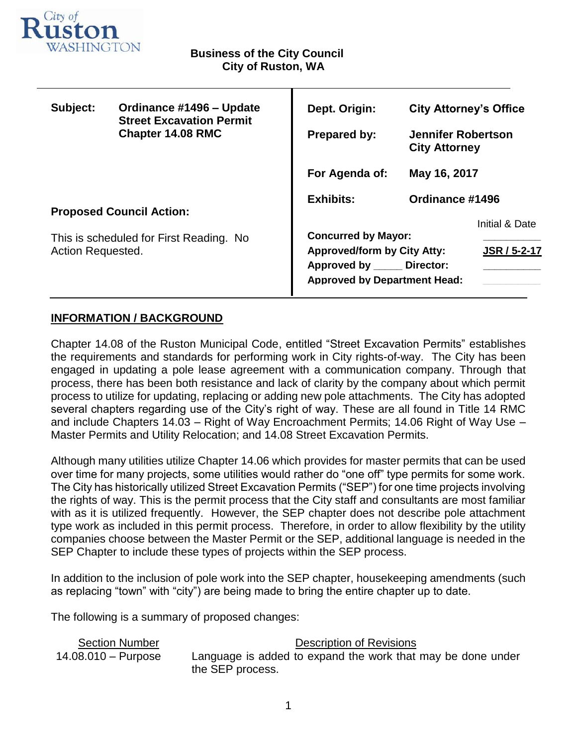

| Subject:                                                     | Ordinance #1496 - Update<br><b>Street Excavation Permit</b><br><b>Chapter 14.08 RMC</b> | Dept. Origin:                                                                                                                                           | <b>City Attorney's Office</b>                     |  |
|--------------------------------------------------------------|-----------------------------------------------------------------------------------------|---------------------------------------------------------------------------------------------------------------------------------------------------------|---------------------------------------------------|--|
|                                                              |                                                                                         | <b>Prepared by:</b>                                                                                                                                     | <b>Jennifer Robertson</b><br><b>City Attorney</b> |  |
|                                                              |                                                                                         | For Agenda of:                                                                                                                                          | May 16, 2017                                      |  |
| <b>Proposed Council Action:</b>                              |                                                                                         | <b>Exhibits:</b>                                                                                                                                        | Ordinance #1496                                   |  |
|                                                              |                                                                                         |                                                                                                                                                         | Initial & Date                                    |  |
| This is scheduled for First Reading. No<br>Action Requested. |                                                                                         | <b>Concurred by Mayor:</b><br><b>JSR / 5-2-17</b><br><b>Approved/form by City Atty:</b><br>Approved by Director:<br><b>Approved by Department Head:</b> |                                                   |  |

Т

# **INFORMATION / BACKGROUND**

Chapter 14.08 of the Ruston Municipal Code, entitled "Street Excavation Permits" establishes the requirements and standards for performing work in City rights-of-way. The City has been engaged in updating a pole lease agreement with a communication company. Through that process, there has been both resistance and lack of clarity by the company about which permit process to utilize for updating, replacing or adding new pole attachments. The City has adopted several chapters regarding use of the City's right of way. These are all found in Title 14 RMC and include Chapters 14.03 – Right of Way Encroachment Permits; 14.06 Right of Way Use – Master Permits and Utility Relocation; and 14.08 Street Excavation Permits.

Although many utilities utilize Chapter 14.06 which provides for master permits that can be used over time for many projects, some utilities would rather do "one off" type permits for some work. The City has historically utilized Street Excavation Permits ("SEP") for one time projects involving the rights of way. This is the permit process that the City staff and consultants are most familiar with as it is utilized frequently. However, the SEP chapter does not describe pole attachment type work as included in this permit process. Therefore, in order to allow flexibility by the utility companies choose between the Master Permit or the SEP, additional language is needed in the SEP Chapter to include these types of projects within the SEP process.

In addition to the inclusion of pole work into the SEP chapter, housekeeping amendments (such as replacing "town" with "city") are being made to bring the entire chapter up to date.

The following is a summary of proposed changes:

| <b>Section Number</b>        | Description of Revisions                                    |
|------------------------------|-------------------------------------------------------------|
| $14.08.010 - \text{Purpose}$ | Language is added to expand the work that may be done under |
|                              | the SEP process.                                            |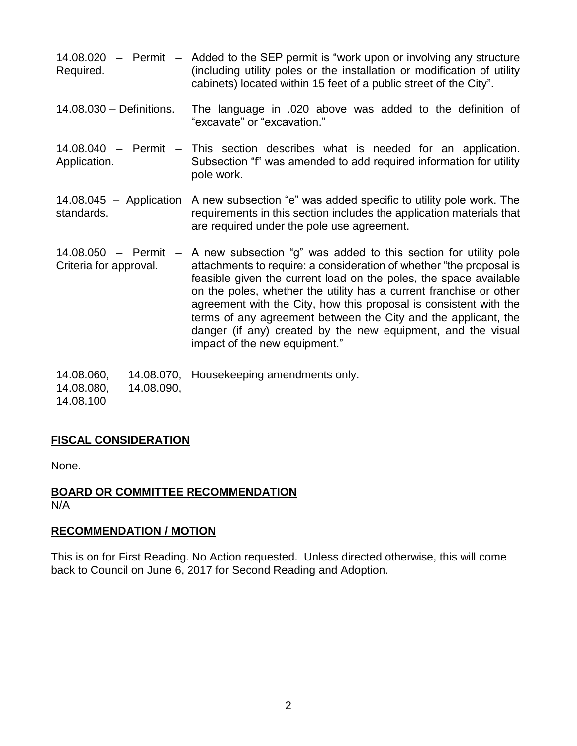- 14.08.020 Permit Added to the SEP permit is "work upon or involving any structure Required. (including utility poles or the installation or modification of utility cabinets) located within 15 feet of a public street of the City".
- 14.08.030 Definitions. The language in .020 above was added to the definition of "excavate" or "excavation."
- 14.08.040 Permit This section describes what is needed for an application. Application. Subsection "f" was amended to add required information for utility pole work.
- 14.08.045 Application A new subsection "e" was added specific to utility pole work. The standards. requirements in this section includes the application materials that are required under the pole use agreement.
- 14.08.050 Permit Criteria for approval. A new subsection "g" was added to this section for utility pole attachments to require: a consideration of whether "the proposal is feasible given the current load on the poles, the space available on the poles, whether the utility has a current franchise or other agreement with the City, how this proposal is consistent with the terms of any agreement between the City and the applicant, the danger (if any) created by the new equipment, and the visual impact of the new equipment."
- 14.08.060, 14.08.070, Housekeeping amendments only.
- 14.08.080, 14.08.090,

14.08.100

# **FISCAL CONSIDERATION**

None.

# **BOARD OR COMMITTEE RECOMMENDATION** N/A

# **RECOMMENDATION / MOTION**

This is on for First Reading. No Action requested. Unless directed otherwise, this will come back to Council on June 6, 2017 for Second Reading and Adoption.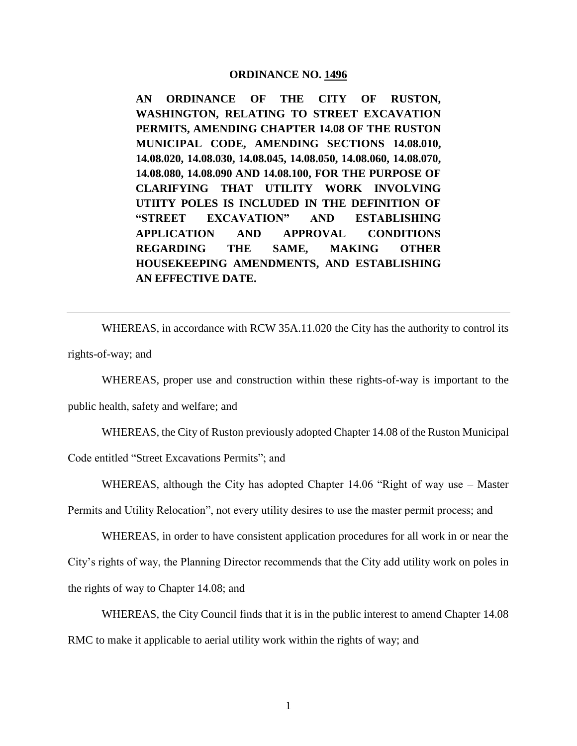#### **ORDINANCE NO. 1496**

**AN ORDINANCE OF THE CITY OF RUSTON, WASHINGTON, RELATING TO STREET EXCAVATION PERMITS, AMENDING CHAPTER 14.08 OF THE RUSTON MUNICIPAL CODE, AMENDING SECTIONS 14.08.010, 14.08.020, 14.08.030, 14.08.045, 14.08.050, 14.08.060, 14.08.070, 14.08.080, 14.08.090 AND 14.08.100, FOR THE PURPOSE OF CLARIFYING THAT UTILITY WORK INVOLVING UTIITY POLES IS INCLUDED IN THE DEFINITION OF "STREET EXCAVATION" AND ESTABLISHING APPLICATION AND APPROVAL CONDITIONS REGARDING THE SAME, MAKING OTHER HOUSEKEEPING AMENDMENTS, AND ESTABLISHING AN EFFECTIVE DATE.** 

WHEREAS, in accordance with RCW 35A.11.020 the City has the authority to control its rights-of-way; and

WHEREAS, proper use and construction within these rights-of-way is important to the

public health, safety and welfare; and

WHEREAS, the City of Ruston previously adopted Chapter 14.08 of the Ruston Municipal

Code entitled "Street Excavations Permits"; and

WHEREAS, although the City has adopted Chapter 14.06 "Right of way use – Master Permits and Utility Relocation", not every utility desires to use the master permit process; and

WHEREAS, in order to have consistent application procedures for all work in or near the City's rights of way, the Planning Director recommends that the City add utility work on poles in the rights of way to Chapter 14.08; and

WHEREAS, the City Council finds that it is in the public interest to amend Chapter 14.08 RMC to make it applicable to aerial utility work within the rights of way; and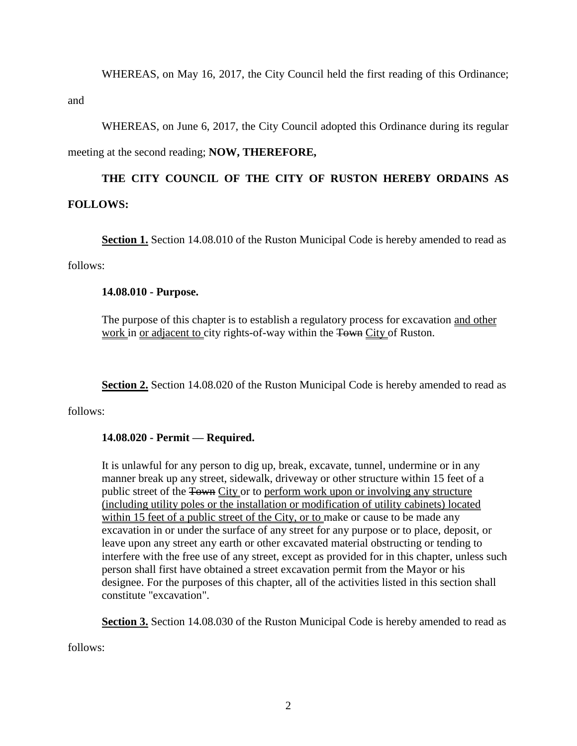WHEREAS, on May 16, 2017, the City Council held the first reading of this Ordinance; and

WHEREAS, on June 6, 2017, the City Council adopted this Ordinance during its regular meeting at the second reading; **NOW, THEREFORE,**

# **THE CITY COUNCIL OF THE CITY OF RUSTON HEREBY ORDAINS AS FOLLOWS:**

**Section 1.** Section 14.08.010 of the Ruston Municipal Code is hereby amended to read as

follows:

# **14.08.010 - Purpose.**

The purpose of this chapter is to establish a regulatory process for excavation and other work in or adjacent to city rights-of-way within the Town City of Ruston.

**Section 2.** Section 14.08.020 of the Ruston Municipal Code is hereby amended to read as

follows:

# **14.08.020 - Permit — Required.**

It is unlawful for any person to dig up, break, excavate, tunnel, undermine or in any manner break up any street, sidewalk, driveway or other structure within 15 feet of a public street of the Town City or to perform work upon or involving any structure (including utility poles or the installation or modification of utility cabinets) located within 15 feet of a public street of the City, or to make or cause to be made any excavation in or under the surface of any street for any purpose or to place, deposit, or leave upon any street any earth or other excavated material obstructing or tending to interfere with the free use of any street, except as provided for in this chapter, unless such person shall first have obtained a street excavation permit from the Mayor or his designee. For the purposes of this chapter, all of the activities listed in this section shall constitute "excavation".

**Section 3.** Section 14.08.030 of the Ruston Municipal Code is hereby amended to read as

follows: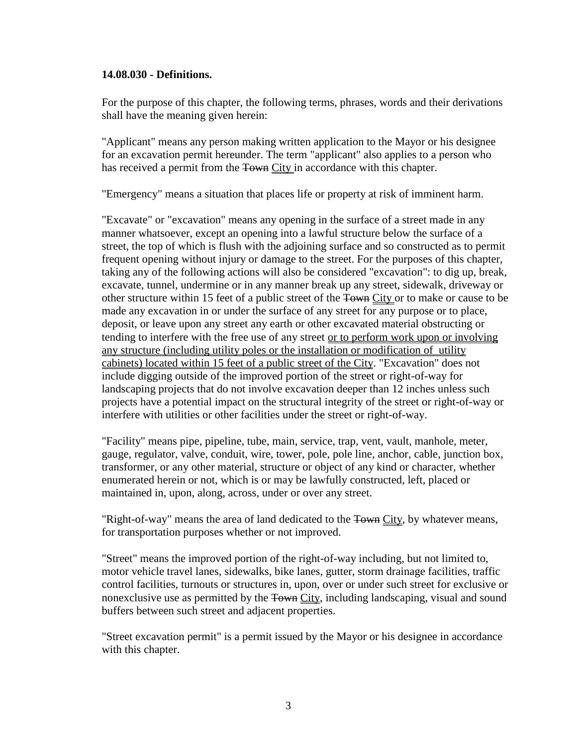#### **14.08.030 - Definitions.**

For the purpose of this chapter, the following terms, phrases, words and their derivations shall have the meaning given herein:

"Applicant" means any person making written application to the Mayor or his designee for an excavation permit hereunder. The term "applicant" also applies to a person who has received a permit from the Town City in accordance with this chapter.

"Emergency" means a situation that places life or property at risk of imminent harm.

"Excavate" or "excavation" means any opening in the surface of a street made in any manner whatsoever, except an opening into a lawful structure below the surface of a street, the top of which is flush with the adjoining surface and so constructed as to permit frequent opening without injury or damage to the street. For the purposes of this chapter, taking any of the following actions will also be considered "excavation": to dig up, break, excavate, tunnel, undermine or in any manner break up any street, sidewalk, driveway or other structure within 15 feet of a public street of the Town City or to make or cause to be made any excavation in or under the surface of any street for any purpose or to place, deposit, or leave upon any street any earth or other excavated material obstructing or tending to interfere with the free use of any street or to perform work upon or involving any structure (including utility poles or the installation or modification of utility cabinets) located within 15 feet of a public street of the City. "Excavation" does not include digging outside of the improved portion of the street or right-of-way for landscaping projects that do not involve excavation deeper than 12 inches unless such projects have a potential impact on the structural integrity of the street or right-of-way or interfere with utilities or other facilities under the street or right-of-way.

"Facility" means pipe, pipeline, tube, main, service, trap, vent, vault, manhole, meter, gauge, regulator, valve, conduit, wire, tower, pole, pole line, anchor, cable, junction box, transformer, or any other material, structure or object of any kind or character, whether enumerated herein or not, which is or may be lawfully constructed, left, placed or maintained in, upon, along, across, under or over any street.

"Right-of-way" means the area of land dedicated to the <del>Town</del> City, by whatever means, for transportation purposes whether or not improved.

"Street" means the improved portion of the right-of-way including, but not limited to, motor vehicle travel lanes, sidewalks, bike lanes, gutter, storm drainage facilities, traffic control facilities, turnouts or structures in, upon, over or under such street for exclusive or nonexclusive use as permitted by the Town City, including landscaping, visual and sound buffers between such street and adjacent properties.

"Street excavation permit" is a permit issued by the Mayor or his designee in accordance with this chapter.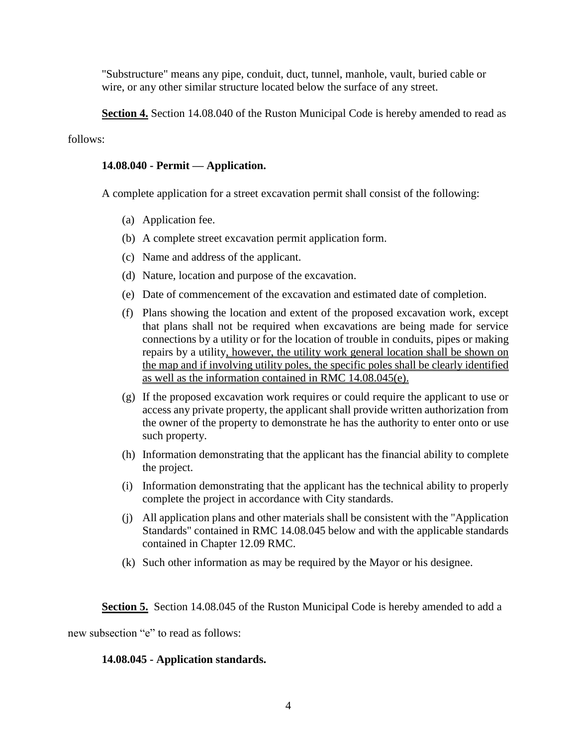"Substructure" means any pipe, conduit, duct, tunnel, manhole, vault, buried cable or wire, or any other similar structure located below the surface of any street.

**Section 4.** Section 14.08.040 of the Ruston Municipal Code is hereby amended to read as

# follows:

# **14.08.040 - Permit — Application.**

A complete application for a street excavation permit shall consist of the following:

- (a) Application fee.
- (b) A complete street excavation permit application form.
- (c) Name and address of the applicant.
- (d) Nature, location and purpose of the excavation.
- (e) Date of commencement of the excavation and estimated date of completion.
- (f) Plans showing the location and extent of the proposed excavation work, except that plans shall not be required when excavations are being made for service connections by a utility or for the location of trouble in conduits, pipes or making repairs by a utility, however, the utility work general location shall be shown on the map and if involving utility poles, the specific poles shall be clearly identified as well as the information contained in RMC 14.08.045(e).
- (g) If the proposed excavation work requires or could require the applicant to use or access any private property, the applicant shall provide written authorization from the owner of the property to demonstrate he has the authority to enter onto or use such property.
- (h) Information demonstrating that the applicant has the financial ability to complete the project.
- (i) Information demonstrating that the applicant has the technical ability to properly complete the project in accordance with City standards.
- (j) All application plans and other materials shall be consistent with the "Application Standards" contained in RMC 14.08.045 below and with the applicable standards contained in Chapter 12.09 RMC.
- (k) Such other information as may be required by the Mayor or his designee.

**Section 5.** Section 14.08.045 of the Ruston Municipal Code is hereby amended to add a

new subsection "e" to read as follows:

# **14.08.045 - Application standards.**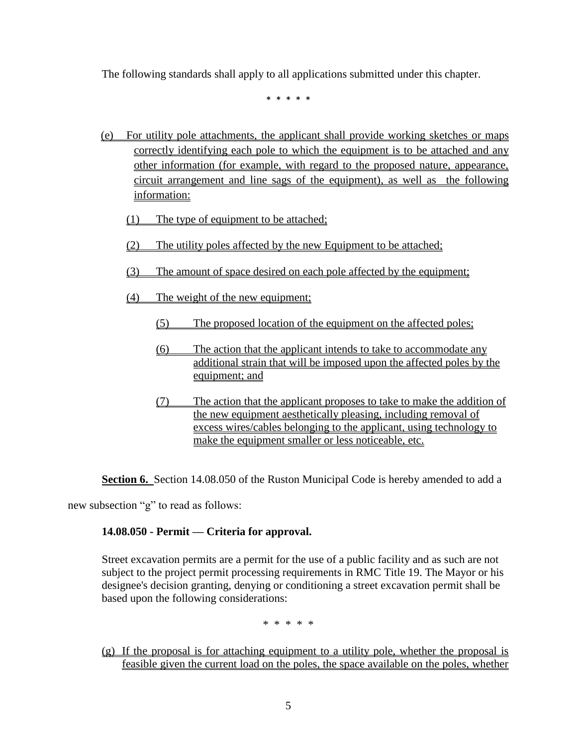The following standards shall apply to all applications submitted under this chapter.

\* \* \* \* \*

- (e) For utility pole attachments, the applicant shall provide working sketches or maps correctly identifying each pole to which the equipment is to be attached and any other information (for example, with regard to the proposed nature, appearance, circuit arrangement and line sags of the equipment), as well as the following information:
	- (1) The type of equipment to be attached;
	- (2) The utility poles affected by the new Equipment to be attached;
	- (3) The amount of space desired on each pole affected by the equipment;
	- (4) The weight of the new equipment;
		- (5) The proposed location of the equipment on the affected poles;
		- (6) The action that the applicant intends to take to accommodate any additional strain that will be imposed upon the affected poles by the equipment; and
		- (7) The action that the applicant proposes to take to make the addition of the new equipment aesthetically pleasing, including removal of excess wires/cables belonging to the applicant, using technology to make the equipment smaller or less noticeable, etc.

**Section 6.** Section 14.08.050 of the Ruston Municipal Code is hereby amended to add a

new subsection "g" to read as follows:

# **14.08.050 - Permit — Criteria for approval.**

Street excavation permits are a permit for the use of a public facility and as such are not subject to the project permit processing requirements in RMC Title 19. The Mayor or his designee's decision granting, denying or conditioning a street excavation permit shall be based upon the following considerations:

\* \* \* \* \*

(g) If the proposal is for attaching equipment to a utility pole, whether the proposal is feasible given the current load on the poles, the space available on the poles, whether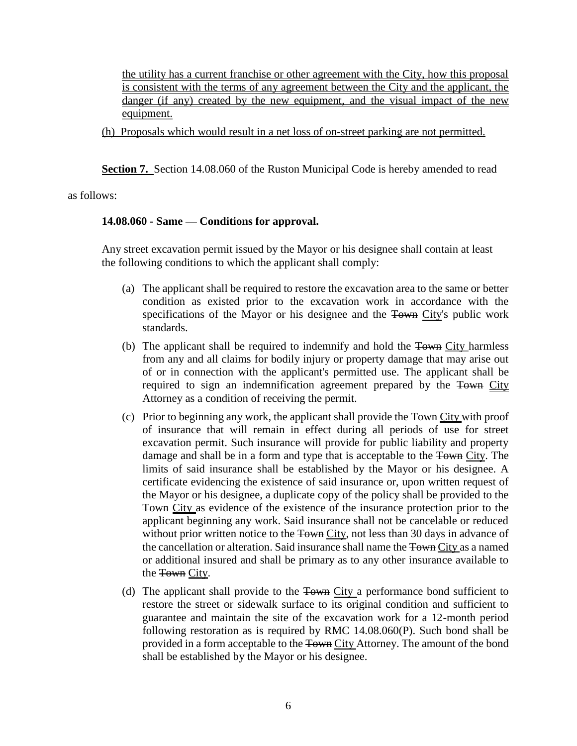the utility has a current franchise or other agreement with the City, how this proposal is consistent with the terms of any agreement between the City and the applicant, the danger (if any) created by the new equipment, and the visual impact of the new equipment.

(h) Proposals which would result in a net loss of on-street parking are not permitted.

**Section 7.** Section 14.08.060 of the Ruston Municipal Code is hereby amended to read

as follows:

#### **14.08.060 - Same — Conditions for approval.**

Any street excavation permit issued by the Mayor or his designee shall contain at least the following conditions to which the applicant shall comply:

- (a) The applicant shall be required to restore the excavation area to the same or better condition as existed prior to the excavation work in accordance with the specifications of the Mayor or his designee and the Town City's public work standards.
- (b) The applicant shall be required to indemnify and hold the Town City harmless from any and all claims for bodily injury or property damage that may arise out of or in connection with the applicant's permitted use. The applicant shall be required to sign an indemnification agreement prepared by the Town City Attorney as a condition of receiving the permit.
- (c) Prior to beginning any work, the applicant shall provide the Town City with proof of insurance that will remain in effect during all periods of use for street excavation permit. Such insurance will provide for public liability and property damage and shall be in a form and type that is acceptable to the Town City. The limits of said insurance shall be established by the Mayor or his designee. A certificate evidencing the existence of said insurance or, upon written request of the Mayor or his designee, a duplicate copy of the policy shall be provided to the Town City as evidence of the existence of the insurance protection prior to the applicant beginning any work. Said insurance shall not be cancelable or reduced without prior written notice to the Town City, not less than 30 days in advance of the cancellation or alteration. Said insurance shall name the Town City as a named or additional insured and shall be primary as to any other insurance available to the Town City.
- (d) The applicant shall provide to the Town City a performance bond sufficient to restore the street or sidewalk surface to its original condition and sufficient to guarantee and maintain the site of the excavation work for a 12-month period following restoration as is required by RMC 14.08.060(P). Such bond shall be provided in a form acceptable to the Town City Attorney. The amount of the bond shall be established by the Mayor or his designee.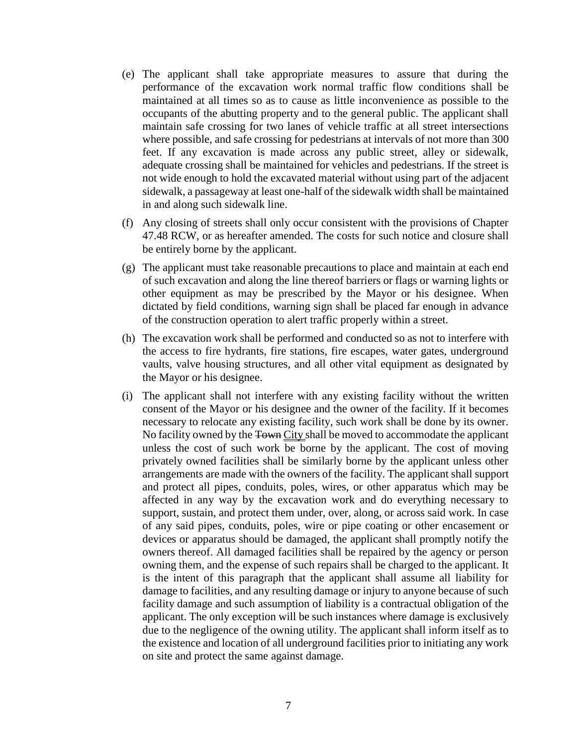- (e) The applicant shall take appropriate measures to assure that during the performance of the excavation work normal traffic flow conditions shall be maintained at all times so as to cause as little inconvenience as possible to the occupants of the abutting property and to the general public. The applicant shall maintain safe crossing for two lanes of vehicle traffic at all street intersections where possible, and safe crossing for pedestrians at intervals of not more than 300 feet. If any excavation is made across any public street, alley or sidewalk, adequate crossing shall be maintained for vehicles and pedestrians. If the street is not wide enough to hold the excavated material without using part of the adjacent sidewalk, a passageway at least one-half of the sidewalk width shall be maintained in and along such sidewalk line.
- (f) Any closing of streets shall only occur consistent with the provisions of Chapter 47.48 RCW, or as hereafter amended. The costs for such notice and closure shall be entirely borne by the applicant.
- (g) The applicant must take reasonable precautions to place and maintain at each end of such excavation and along the line thereof barriers or flags or warning lights or other equipment as may be prescribed by the Mayor or his designee. When dictated by field conditions, warning sign shall be placed far enough in advance of the construction operation to alert traffic properly within a street.
- (h) The excavation work shall be performed and conducted so as not to interfere with the access to fire hydrants, fire stations, fire escapes, water gates, underground vaults, valve housing structures, and all other vital equipment as designated by the Mayor or his designee.
- (i) The applicant shall not interfere with any existing facility without the written consent of the Mayor or his designee and the owner of the facility. If it becomes necessary to relocate any existing facility, such work shall be done by its owner. No facility owned by the Town City shall be moved to accommodate the applicant unless the cost of such work be borne by the applicant. The cost of moving privately owned facilities shall be similarly borne by the applicant unless other arrangements are made with the owners of the facility. The applicant shall support and protect all pipes, conduits, poles, wires, or other apparatus which may be affected in any way by the excavation work and do everything necessary to support, sustain, and protect them under, over, along, or across said work. In case of any said pipes, conduits, poles, wire or pipe coating or other encasement or devices or apparatus should be damaged, the applicant shall promptly notify the owners thereof. All damaged facilities shall be repaired by the agency or person owning them, and the expense of such repairs shall be charged to the applicant. It is the intent of this paragraph that the applicant shall assume all liability for damage to facilities, and any resulting damage or injury to anyone because of such facility damage and such assumption of liability is a contractual obligation of the applicant. The only exception will be such instances where damage is exclusively due to the negligence of the owning utility. The applicant shall inform itself as to the existence and location of all underground facilities prior to initiating any work on site and protect the same against damage.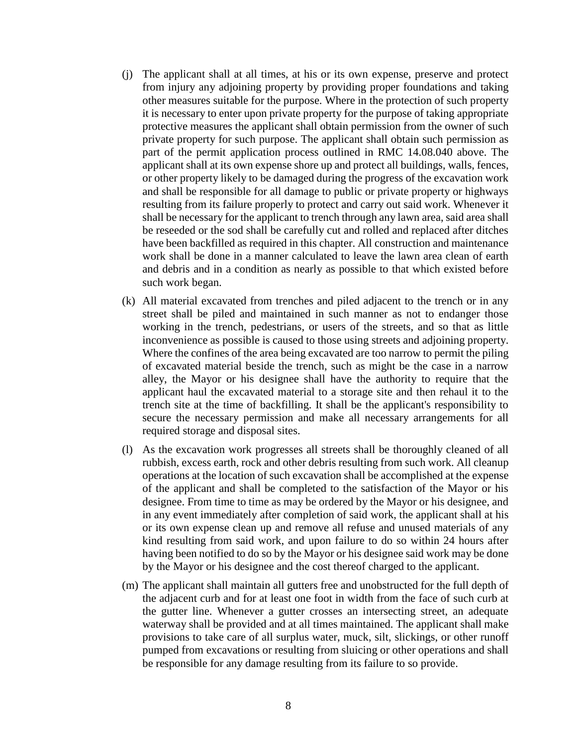- (j) The applicant shall at all times, at his or its own expense, preserve and protect from injury any adjoining property by providing proper foundations and taking other measures suitable for the purpose. Where in the protection of such property it is necessary to enter upon private property for the purpose of taking appropriate protective measures the applicant shall obtain permission from the owner of such private property for such purpose. The applicant shall obtain such permission as part of the permit application process outlined in RMC 14.08.040 above. The applicant shall at its own expense shore up and protect all buildings, walls, fences, or other property likely to be damaged during the progress of the excavation work and shall be responsible for all damage to public or private property or highways resulting from its failure properly to protect and carry out said work. Whenever it shall be necessary for the applicant to trench through any lawn area, said area shall be reseeded or the sod shall be carefully cut and rolled and replaced after ditches have been backfilled as required in this chapter. All construction and maintenance work shall be done in a manner calculated to leave the lawn area clean of earth and debris and in a condition as nearly as possible to that which existed before such work began.
- (k) All material excavated from trenches and piled adjacent to the trench or in any street shall be piled and maintained in such manner as not to endanger those working in the trench, pedestrians, or users of the streets, and so that as little inconvenience as possible is caused to those using streets and adjoining property. Where the confines of the area being excavated are too narrow to permit the piling of excavated material beside the trench, such as might be the case in a narrow alley, the Mayor or his designee shall have the authority to require that the applicant haul the excavated material to a storage site and then rehaul it to the trench site at the time of backfilling. It shall be the applicant's responsibility to secure the necessary permission and make all necessary arrangements for all required storage and disposal sites.
- (l) As the excavation work progresses all streets shall be thoroughly cleaned of all rubbish, excess earth, rock and other debris resulting from such work. All cleanup operations at the location of such excavation shall be accomplished at the expense of the applicant and shall be completed to the satisfaction of the Mayor or his designee. From time to time as may be ordered by the Mayor or his designee, and in any event immediately after completion of said work, the applicant shall at his or its own expense clean up and remove all refuse and unused materials of any kind resulting from said work, and upon failure to do so within 24 hours after having been notified to do so by the Mayor or his designee said work may be done by the Mayor or his designee and the cost thereof charged to the applicant.
- (m) The applicant shall maintain all gutters free and unobstructed for the full depth of the adjacent curb and for at least one foot in width from the face of such curb at the gutter line. Whenever a gutter crosses an intersecting street, an adequate waterway shall be provided and at all times maintained. The applicant shall make provisions to take care of all surplus water, muck, silt, slickings, or other runoff pumped from excavations or resulting from sluicing or other operations and shall be responsible for any damage resulting from its failure to so provide.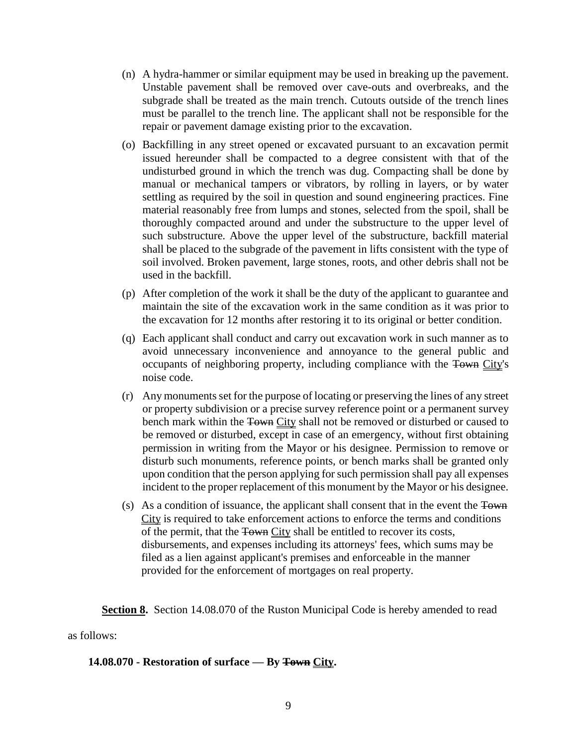- (n) A hydra-hammer or similar equipment may be used in breaking up the pavement. Unstable pavement shall be removed over cave-outs and overbreaks, and the subgrade shall be treated as the main trench. Cutouts outside of the trench lines must be parallel to the trench line. The applicant shall not be responsible for the repair or pavement damage existing prior to the excavation.
- (o) Backfilling in any street opened or excavated pursuant to an excavation permit issued hereunder shall be compacted to a degree consistent with that of the undisturbed ground in which the trench was dug. Compacting shall be done by manual or mechanical tampers or vibrators, by rolling in layers, or by water settling as required by the soil in question and sound engineering practices. Fine material reasonably free from lumps and stones, selected from the spoil, shall be thoroughly compacted around and under the substructure to the upper level of such substructure. Above the upper level of the substructure, backfill material shall be placed to the subgrade of the pavement in lifts consistent with the type of soil involved. Broken pavement, large stones, roots, and other debris shall not be used in the backfill.
- (p) After completion of the work it shall be the duty of the applicant to guarantee and maintain the site of the excavation work in the same condition as it was prior to the excavation for 12 months after restoring it to its original or better condition.
- (q) Each applicant shall conduct and carry out excavation work in such manner as to avoid unnecessary inconvenience and annoyance to the general public and occupants of neighboring property, including compliance with the Town City's noise code.
- (r) Any monuments set for the purpose of locating or preserving the lines of any street or property subdivision or a precise survey reference point or a permanent survey bench mark within the Town City shall not be removed or disturbed or caused to be removed or disturbed, except in case of an emergency, without first obtaining permission in writing from the Mayor or his designee. Permission to remove or disturb such monuments, reference points, or bench marks shall be granted only upon condition that the person applying for such permission shall pay all expenses incident to the proper replacement of this monument by the Mayor or his designee.
- (s) As a condition of issuance, the applicant shall consent that in the event the Town City is required to take enforcement actions to enforce the terms and conditions of the permit, that the Town City shall be entitled to recover its costs, disbursements, and expenses including its attorneys' fees, which sums may be filed as a lien against applicant's premises and enforceable in the manner provided for the enforcement of mortgages on real property.

**Section 8.** Section 14.08.070 of the Ruston Municipal Code is hereby amended to read

as follows:

#### **14.08.070 - Restoration of surface — By Town City.**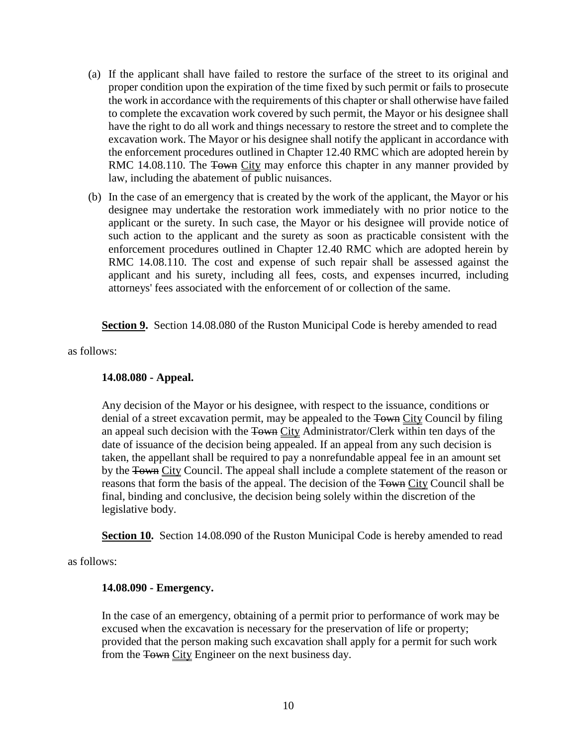- (a) If the applicant shall have failed to restore the surface of the street to its original and proper condition upon the expiration of the time fixed by such permit or fails to prosecute the work in accordance with the requirements of this chapter or shall otherwise have failed to complete the excavation work covered by such permit, the Mayor or his designee shall have the right to do all work and things necessary to restore the street and to complete the excavation work. The Mayor or his designee shall notify the applicant in accordance with the enforcement procedures outlined in Chapter 12.40 RMC which are adopted herein by RMC 14.08.110. The Town City may enforce this chapter in any manner provided by law, including the abatement of public nuisances.
- (b) In the case of an emergency that is created by the work of the applicant, the Mayor or his designee may undertake the restoration work immediately with no prior notice to the applicant or the surety. In such case, the Mayor or his designee will provide notice of such action to the applicant and the surety as soon as practicable consistent with the enforcement procedures outlined in Chapter 12.40 RMC which are adopted herein by RMC 14.08.110. The cost and expense of such repair shall be assessed against the applicant and his surety, including all fees, costs, and expenses incurred, including attorneys' fees associated with the enforcement of or collection of the same.

**Section 9.** Section 14.08.080 of the Ruston Municipal Code is hereby amended to read

as follows:

#### **14.08.080 - Appeal.**

Any decision of the Mayor or his designee, with respect to the issuance, conditions or denial of a street excavation permit, may be appealed to the Town City Council by filing an appeal such decision with the Town City Administrator/Clerk within ten days of the date of issuance of the decision being appealed. If an appeal from any such decision is taken, the appellant shall be required to pay a nonrefundable appeal fee in an amount set by the Town City Council. The appeal shall include a complete statement of the reason or reasons that form the basis of the appeal. The decision of the Town City Council shall be final, binding and conclusive, the decision being solely within the discretion of the legislative body.

**Section 10.** Section 14.08.090 of the Ruston Municipal Code is hereby amended to read

as follows:

#### **14.08.090 - Emergency.**

In the case of an emergency, obtaining of a permit prior to performance of work may be excused when the excavation is necessary for the preservation of life or property; provided that the person making such excavation shall apply for a permit for such work from the Town City Engineer on the next business day.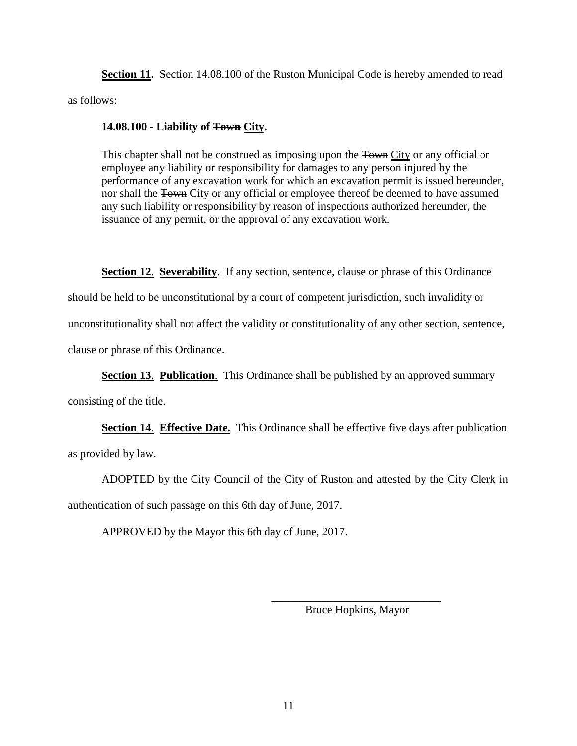**Section 11.** Section 14.08.100 of the Ruston Municipal Code is hereby amended to read as follows:

#### **14.08.100 - Liability of Town City.**

This chapter shall not be construed as imposing upon the Town City or any official or employee any liability or responsibility for damages to any person injured by the performance of any excavation work for which an excavation permit is issued hereunder, nor shall the Town City or any official or employee thereof be deemed to have assumed any such liability or responsibility by reason of inspections authorized hereunder, the issuance of any permit, or the approval of any excavation work.

**Section 12. Severability.** If any section, sentence, clause or phrase of this Ordinance should be held to be unconstitutional by a court of competent jurisdiction, such invalidity or unconstitutionality shall not affect the validity or constitutionality of any other section, sentence, clause or phrase of this Ordinance.

**Section 13**. **Publication**. This Ordinance shall be published by an approved summary

consisting of the title.

**Section 14**. **Effective Date.** This Ordinance shall be effective five days after publication as provided by law.

ADOPTED by the City Council of the City of Ruston and attested by the City Clerk in authentication of such passage on this 6th day of June, 2017.

APPROVED by the Mayor this 6th day of June, 2017.

\_\_\_\_\_\_\_\_\_\_\_\_\_\_\_\_\_\_\_\_\_\_\_\_\_\_\_\_\_\_ Bruce Hopkins, Mayor